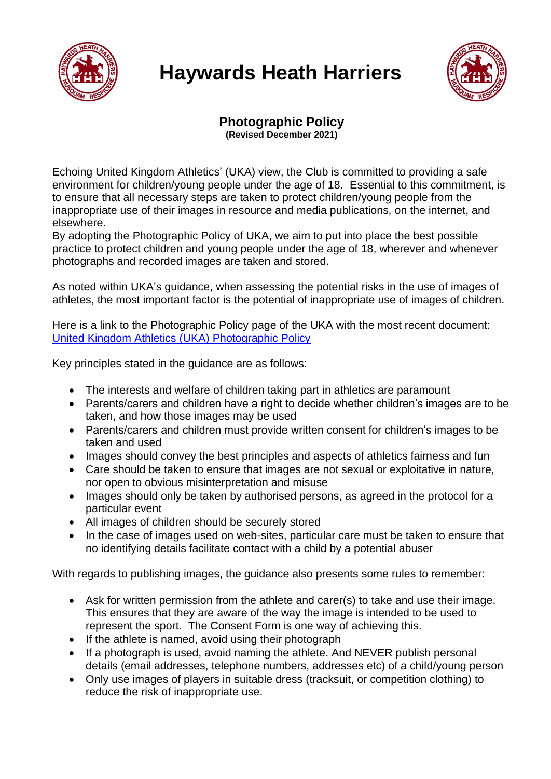

## **Haywards Heath Harriers**



## **Photographic Policy (Revised December 2021)**

Echoing United Kingdom Athletics' (UKA) view, the Club is committed to providing a safe environment for children/young people under the age of 18. Essential to this commitment, is to ensure that all necessary steps are taken to protect children/young people from the inappropriate use of their images in resource and media publications, on the internet, and elsewhere.

By adopting the Photographic Policy of UKA, we aim to put into place the best possible practice to protect children and young people under the age of 18, wherever and whenever photographs and recorded images are taken and stored.

As noted within UKA's guidance, when assessing the potential risks in the use of images of athletes, the most important factor is the potential of inappropriate use of images of children.

Here is a link to the Photographic Policy page of the UKA with the most recent document: [United Kingdom Athletics \(UKA\) Photographic Policy](https://www.uka.org.uk/governance/policies/guidelines-for-the-use-of-photographic-and-video-images-of-children-young-people-under-the-age-of-18/)

Key principles stated in the guidance are as follows:

- The interests and welfare of children taking part in athletics are paramount
- Parents/carers and children have a right to decide whether children's images are to be taken, and how those images may be used
- Parents/carers and children must provide written consent for children's images to be taken and used
- Images should convey the best principles and aspects of athletics fairness and fun
- Care should be taken to ensure that images are not sexual or exploitative in nature, nor open to obvious misinterpretation and misuse
- Images should only be taken by authorised persons, as agreed in the protocol for a particular event
- All images of children should be securely stored
- In the case of images used on web-sites, particular care must be taken to ensure that no identifying details facilitate contact with a child by a potential abuser

With regards to publishing images, the guidance also presents some rules to remember:

- Ask for written permission from the athlete and carer(s) to take and use their image. This ensures that they are aware of the way the image is intended to be used to represent the sport. The Consent Form is one way of achieving this.
- If the athlete is named, avoid using their photograph
- If a photograph is used, avoid naming the athlete. And NEVER publish personal details (email addresses, telephone numbers, addresses etc) of a child/young person
- Only use images of players in suitable dress (tracksuit, or competition clothing) to reduce the risk of inappropriate use.